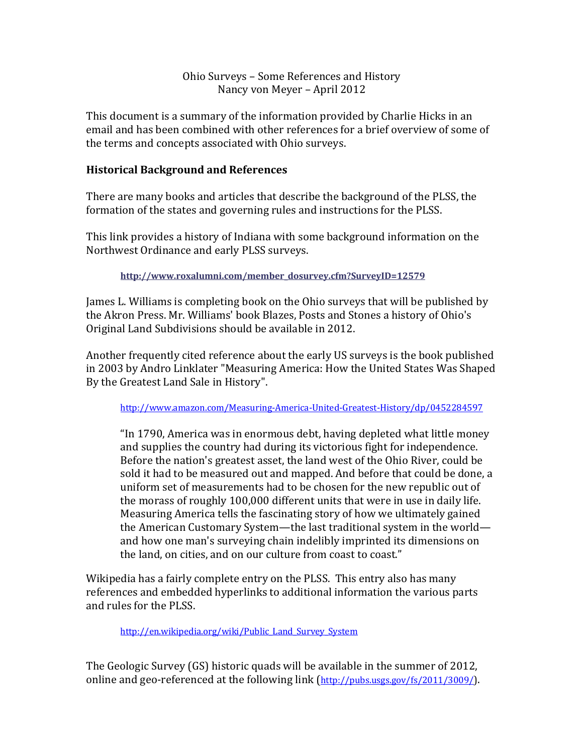# Ohio Surveys - Some References and History Nancy von Meyer - April 2012

This document is a summary of the information provided by Charlie Hicks in an email and has been combined with other references for a brief overview of some of the terms and concepts associated with Ohio surveys.

# **Historical Background and References**

There are many books and articles that describe the background of the PLSS, the formation of the states and governing rules and instructions for the PLSS.

This link provides a history of Indiana with some background information on the Northwest Ordinance and early PLSS surveys.

**http://www.roxalumni.com/member\_dosurvey.cfm?SurveyID=12579**

James L. Williams is completing book on the Ohio surveys that will be published by the Akron Press. Mr. Williams' book Blazes, Posts and Stones a history of Ohio's Original Land Subdivisions should be available in 2012.

Another frequently cited reference about the early US surveys is the book published in 2003 by Andro Linklater "Measuring America: How the United States Was Shaped By the Greatest Land Sale in History".

http://www.amazon.com/Measuring-America-United-Greatest-History/dp/0452284597

"In 1790, America was in enormous debt, having depleted what little money and supplies the country had during its victorious fight for independence. Before the nation's greatest asset, the land west of the Ohio River, could be sold it had to be measured out and mapped. And before that could be done, a uniform set of measurements had to be chosen for the new republic out of the morass of roughly 100,000 different units that were in use in daily life. Measuring America tells the fascinating story of how we ultimately gained the American Customary System—the last traditional system in the world and how one man's surveying chain indelibly imprinted its dimensions on the land, on cities, and on our culture from coast to coast."

Wikipedia has a fairly complete entry on the PLSS. This entry also has many references and embedded hyperlinks to additional information the various parts and rules for the PLSS.

http://en.wikipedia.org/wiki/Public\_Land\_Survey\_System

The Geologic Survey (GS) historic quads will be available in the summer of 2012, online and geo-referenced at the following link (http://pubs.usgs.gov/fs/2011/3009/).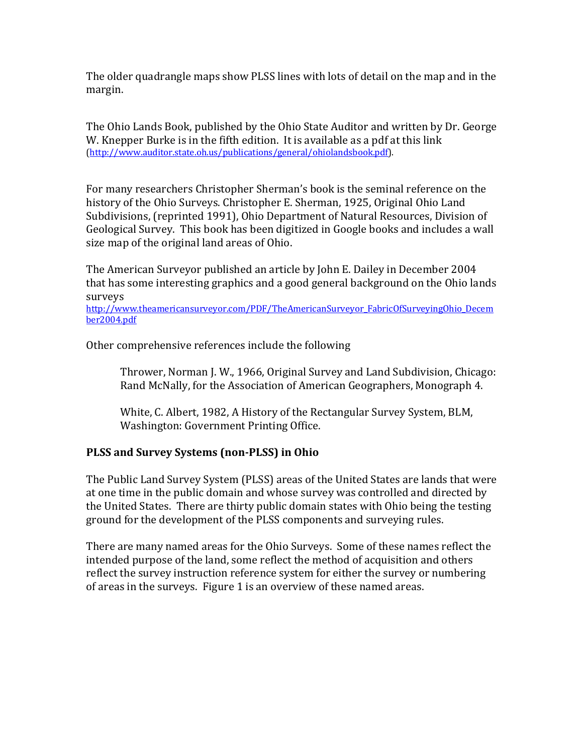The older quadrangle maps show PLSS lines with lots of detail on the map and in the margin. 

The Ohio Lands Book, published by the Ohio State Auditor and written by Dr. George W. Knepper Burke is in the fifth edition. It is available as a pdf at this link (http://www.auditor.state.oh.us/publications/general/ohiolandsbook.pdf).

For many researchers Christopher Sherman's book is the seminal reference on the history of the Ohio Surveys. Christopher E. Sherman, 1925, Original Ohio Land Subdivisions, (reprinted 1991), Ohio Department of Natural Resources, Division of Geological Survey. This book has been digitized in Google books and includes a wall size map of the original land areas of Ohio.

The American Surveyor published an article by John E. Dailey in December 2004 that has some interesting graphics and a good general background on the Ohio lands surveys

http://www.theamericansurveyor.com/PDF/TheAmericanSurveyor\_FabricOfSurveyingOhio\_Decem ber2004.pdf

Other comprehensive references include the following

Thrower, Norman J. W., 1966, Original Survey and Land Subdivision, Chicago: Rand McNally, for the Association of American Geographers, Monograph 4.

White, C. Albert, 1982, A History of the Rectangular Survey System, BLM, Washington: Government Printing Office.

### **PLSS and Survey Systems (non-PLSS) in Ohio**

The Public Land Survey System (PLSS) areas of the United States are lands that were at one time in the public domain and whose survey was controlled and directed by the United States. There are thirty public domain states with Ohio being the testing ground for the development of the PLSS components and surveying rules.

There are many named areas for the Ohio Surveys. Some of these names reflect the intended purpose of the land, some reflect the method of acquisition and others reflect the survey instruction reference system for either the survey or numbering of areas in the surveys. Figure 1 is an overview of these named areas.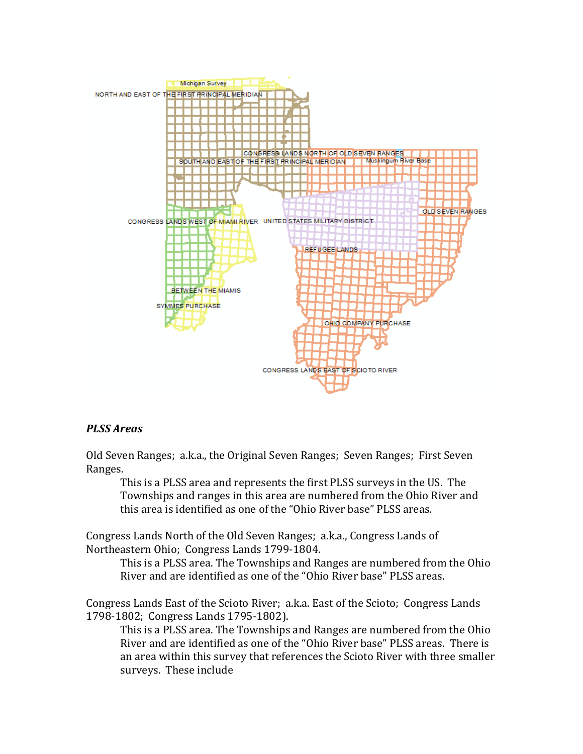

#### *PLSS Areas*

Old Seven Ranges; a.k.a., the Original Seven Ranges; Seven Ranges; First Seven Ranges.

This is a PLSS area and represents the first PLSS surveys in the US. The Townships and ranges in this area are numbered from the Ohio River and this area is identified as one of the "Ohio River base" PLSS areas.

Congress Lands North of the Old Seven Ranges; a.k.a., Congress Lands of Northeastern Ohio; Congress Lands 1799-1804.

This is a PLSS area. The Townships and Ranges are numbered from the Ohio River and are identified as one of the "Ohio River base" PLSS areas.

Congress Lands East of the Scioto River; a.k.a. East of the Scioto; Congress Lands 1798-1802; Congress Lands 1795-1802).

This is a PLSS area. The Townships and Ranges are numbered from the Ohio River and are identified as one of the "Ohio River base" PLSS areas. There is an area within this survey that references the Scioto River with three smaller surveys. These include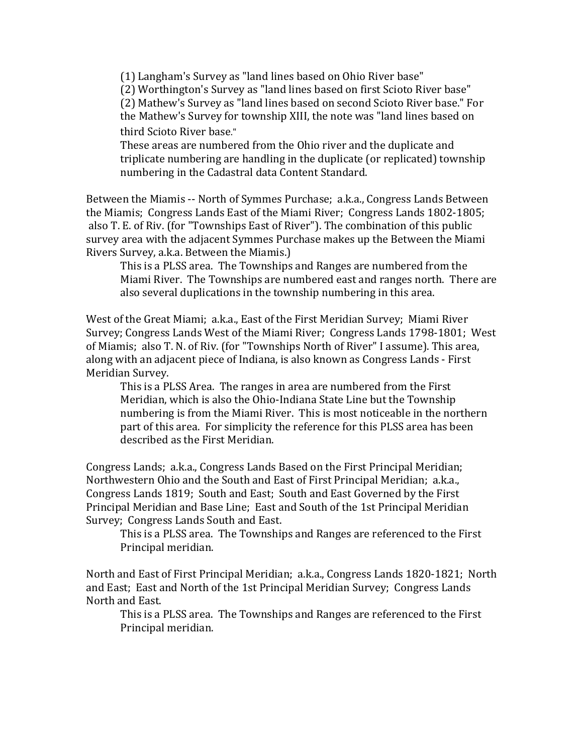(1) Langham's Survey as "land lines based on Ohio River base" (2) Worthington's Survey as "land lines based on first Scioto River base" (2) Mathew's Survey as "land lines based on second Scioto River base." For the Mathew's Survey for township XIII, the note was "land lines based on third Scioto River base."

These areas are numbered from the Ohio river and the duplicate and triplicate numbering are handling in the duplicate (or replicated) township numbering in the Cadastral data Content Standard.

Between the Miamis -- North of Symmes Purchase; a.k.a., Congress Lands Between the Miamis; Congress Lands East of the Miami River; Congress Lands 1802-1805; also T. E. of Riv. (for "Townships East of River"). The combination of this public survey area with the adjacent Symmes Purchase makes up the Between the Miami Rivers Survey, a.k.a. Between the Miamis.)

This is a PLSS area. The Townships and Ranges are numbered from the Miami River. The Townships are numbered east and ranges north. There are also several duplications in the township numbering in this area.

West of the Great Miami; a.k.a., East of the First Meridian Survey; Miami River Survey; Congress Lands West of the Miami River; Congress Lands 1798-1801; West of Miamis; also T. N. of Riv. (for "Townships North of River" I assume). This area, along with an adjacent piece of Indiana, is also known as Congress Lands - First Meridian Survey.

This is a PLSS Area. The ranges in area are numbered from the First Meridian, which is also the Ohio-Indiana State Line but the Township numbering is from the Miami River. This is most noticeable in the northern part of this area. For simplicity the reference for this PLSS area has been described as the First Meridian.

Congress Lands; a.k.a., Congress Lands Based on the First Principal Meridian; Northwestern Ohio and the South and East of First Principal Meridian; a.k.a., Congress Lands 1819; South and East; South and East Governed by the First Principal Meridian and Base Line; East and South of the 1st Principal Meridian Survey; Congress Lands South and East.

This is a PLSS area. The Townships and Ranges are referenced to the First Principal meridian.

North and East of First Principal Meridian; a.k.a., Congress Lands 1820-1821; North and East; East and North of the 1st Principal Meridian Survey; Congress Lands North and East.

This is a PLSS area. The Townships and Ranges are referenced to the First Principal meridian.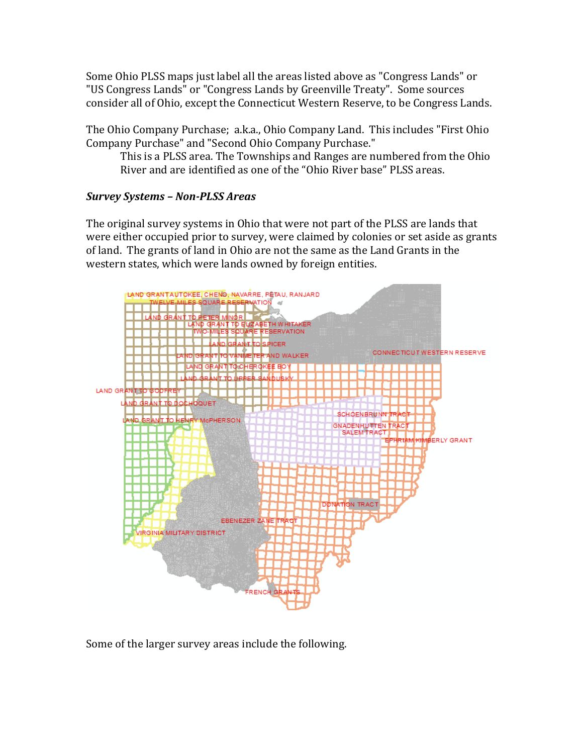Some Ohio PLSS maps just label all the areas listed above as "Congress Lands" or "US Congress Lands" or "Congress Lands by Greenville Treaty". Some sources consider all of Ohio, except the Connecticut Western Reserve, to be Congress Lands.

The Ohio Company Purchase; a.k.a., Ohio Company Land. This includes "First Ohio Company Purchase" and "Second Ohio Company Purchase."

This is a PLSS area. The Townships and Ranges are numbered from the Ohio River and are identified as one of the "Ohio River base" PLSS areas.

# *Survey Systems – Non-PLSS Areas*

The original survey systems in Ohio that were not part of the PLSS are lands that were either occupied prior to survey, were claimed by colonies or set aside as grants of land. The grants of land in Ohio are not the same as the Land Grants in the western states, which were lands owned by foreign entities.



Some of the larger survey areas include the following.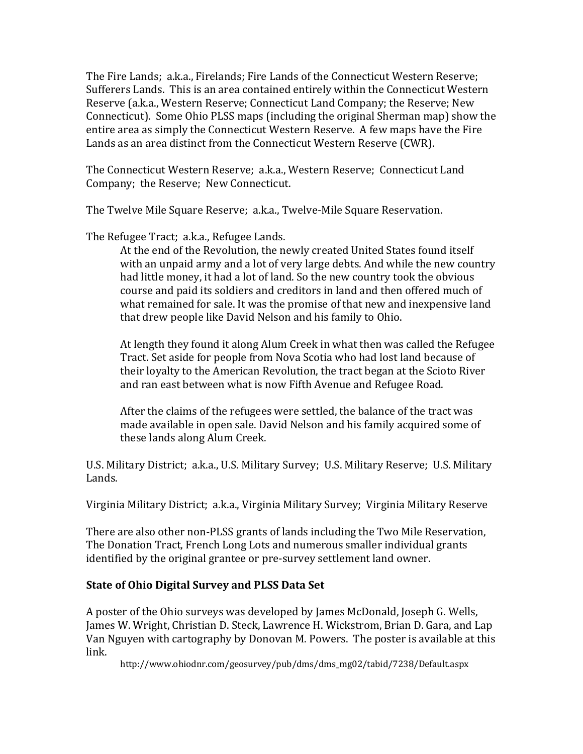The Fire Lands; a.k.a., Firelands; Fire Lands of the Connecticut Western Reserve; Sufferers Lands. This is an area contained entirely within the Connecticut Western Reserve (a.k.a., Western Reserve; Connecticut Land Company; the Reserve; New Connecticut). Some Ohio PLSS maps (including the original Sherman map) show the entire area as simply the Connecticut Western Reserve. A few maps have the Fire Lands as an area distinct from the Connecticut Western Reserve (CWR).

The Connecticut Western Reserve; a.k.a., Western Reserve; Connecticut Land Company; the Reserve; New Connecticut.

The Twelve Mile Square Reserve; a.k.a., Twelve-Mile Square Reservation.

The Refugee Tract; a.k.a., Refugee Lands.

At the end of the Revolution, the newly created United States found itself with an unpaid army and a lot of very large debts. And while the new country had little money, it had a lot of land. So the new country took the obvious course and paid its soldiers and creditors in land and then offered much of what remained for sale. It was the promise of that new and inexpensive land that drew people like David Nelson and his family to Ohio.

At length they found it along Alum Creek in what then was called the Refugee Tract. Set aside for people from Nova Scotia who had lost land because of their loyalty to the American Revolution, the tract began at the Scioto River and ran east between what is now Fifth Avenue and Refugee Road.

After the claims of the refugees were settled, the balance of the tract was made available in open sale. David Nelson and his family acquired some of these lands along Alum Creek.

U.S. Military District; a.k.a., U.S. Military Survey; U.S. Military Reserve; U.S. Military Lands.

Virginia Military District; a.k.a., Virginia Military Survey; Virginia Military Reserve

There are also other non-PLSS grants of lands including the Two Mile Reservation, The Donation Tract, French Long Lots and numerous smaller individual grants identified by the original grantee or pre-survey settlement land owner.

### **State of Ohio Digital Survey and PLSS Data Set**

A poster of the Ohio surveys was developed by James McDonald, Joseph G. Wells, James W. Wright, Christian D. Steck, Lawrence H. Wickstrom, Brian D. Gara, and Lap Van Nguyen with cartography by Donovan M. Powers. The poster is available at this link.

http://www.ohiodnr.com/geosurvey/pub/dms/dms\_mg02/tabid/7238/Default.aspx